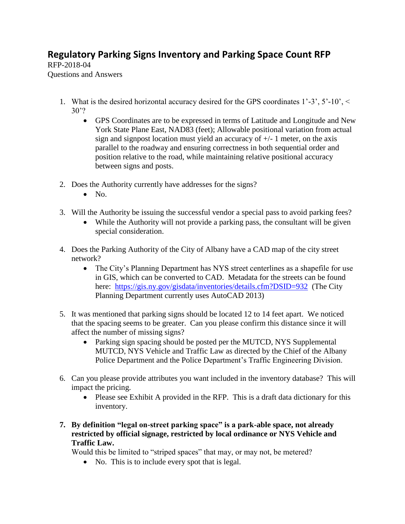## **Regulatory Parking Signs Inventory and Parking Space Count RFP**

RFP-2018-04 Questions and Answers

- 1. What is the desired horizontal accuracy desired for the GPS coordinates 1'-3', 5'-10', < 30'?
	- GPS Coordinates are to be expressed in terms of Latitude and Longitude and New York State Plane East, NAD83 (feet); Allowable positional variation from actual sign and signpost location must yield an accuracy of  $+/-1$  meter, on the axis parallel to the roadway and ensuring correctness in both sequential order and position relative to the road, while maintaining relative positional accuracy between signs and posts.
- 2. Does the Authority currently have addresses for the signs?
	- $\bullet$  No.
- 3. Will the Authority be issuing the successful vendor a special pass to avoid parking fees?
	- While the Authority will not provide a parking pass, the consultant will be given special consideration.
- 4. Does the Parking Authority of the City of Albany have a CAD map of the city street network?
	- The City's Planning Department has NYS street centerlines as a shapefile for use in GIS, which can be converted to CAD. Metadata for the streets can be found here: <https://gis.ny.gov/gisdata/inventories/details.cfm?DSID=932>(The City Planning Department currently uses AutoCAD 2013)
- 5. It was mentioned that parking signs should be located 12 to 14 feet apart. We noticed that the spacing seems to be greater. Can you please confirm this distance since it will affect the number of missing signs?
	- Parking sign spacing should be posted per the MUTCD, NYS Supplemental MUTCD, NYS Vehicle and Traffic Law as directed by the Chief of the Albany Police Department and the Police Department's Traffic Engineering Division.
- 6. Can you please provide attributes you want included in the inventory database? This will impact the pricing.
	- Please see Exhibit A provided in the RFP. This is a draft data dictionary for this inventory.
- **7. By definition "legal on-street parking space" is a park-able space, not already restricted by official signage, restricted by local ordinance or NYS Vehicle and Traffic Law.**

Would this be limited to "striped spaces" that may, or may not, be metered?

• No. This is to include every spot that is legal.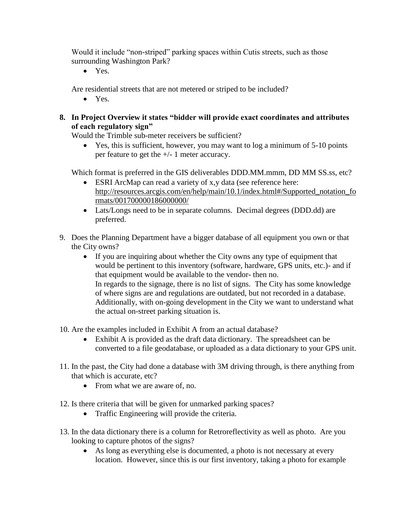Would it include "non-striped" parking spaces within Cutis streets, such as those surrounding Washington Park?

• Yes.

Are residential streets that are not metered or striped to be included?

• Yes.

## **8. In Project Overview it states "bidder will provide exact coordinates and attributes of each regulatory sign"**

Would the Trimble sub-meter receivers be sufficient?

 Yes, this is sufficient, however, you may want to log a minimum of 5-10 points per feature to get the +/- 1 meter accuracy.

Which format is preferred in the GIS deliverables DDD.MM.mmm, DD MM SS.ss, etc?

- ESRI ArcMap can read a variety of x,y data (see reference here: [http://resources.arcgis.com/en/help/main/10.1/index.html#/Supported\\_notation\\_fo](http://resources.arcgis.com/en/help/main/10.1/index.html#/Supported_notation_formats/001700000186000000/) [rmats/001700000186000000/](http://resources.arcgis.com/en/help/main/10.1/index.html#/Supported_notation_formats/001700000186000000/)
- Lats/Longs need to be in separate columns. Decimal degrees (DDD.dd) are preferred.
- 9. Does the Planning Department have a bigger database of all equipment you own or that the City owns?
	- If you are inquiring about whether the City owns any type of equipment that would be pertinent to this inventory (software, hardware, GPS units, etc.)- and if that equipment would be available to the vendor- then no. In regards to the signage, there is no list of signs. The City has some knowledge of where signs are and regulations are outdated, but not recorded in a database. Additionally, with on-going development in the City we want to understand what the actual on-street parking situation is.

10. Are the examples included in Exhibit A from an actual database?

- Exhibit A is provided as the draft data dictionary. The spreadsheet can be converted to a file geodatabase, or uploaded as a data dictionary to your GPS unit.
- 11. In the past, the City had done a database with 3M driving through, is there anything from that which is accurate, etc?
	- From what we are aware of, no.
- 12. Is there criteria that will be given for unmarked parking spaces?
	- Traffic Engineering will provide the criteria.
- 13. In the data dictionary there is a column for Retroreflectivity as well as photo. Are you looking to capture photos of the signs?
	- As long as everything else is documented, a photo is not necessary at every location. However, since this is our first inventory, taking a photo for example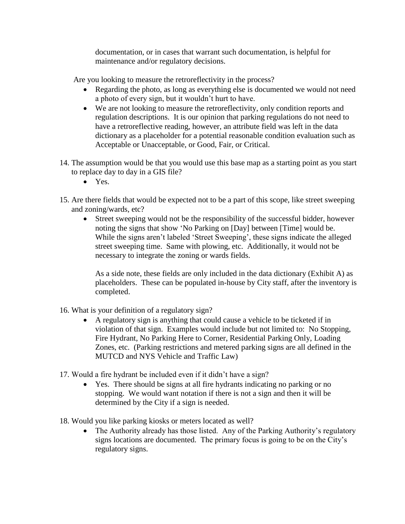documentation, or in cases that warrant such documentation, is helpful for maintenance and/or regulatory decisions.

Are you looking to measure the retroreflectivity in the process?

- Regarding the photo, as long as everything else is documented we would not need a photo of every sign, but it wouldn't hurt to have.
- We are not looking to measure the retroreflectivity, only condition reports and regulation descriptions. It is our opinion that parking regulations do not need to have a retroreflective reading, however, an attribute field was left in the data dictionary as a placeholder for a potential reasonable condition evaluation such as Acceptable or Unacceptable, or Good, Fair, or Critical.
- 14. The assumption would be that you would use this base map as a starting point as you start to replace day to day in a GIS file?
	- Yes.
- 15. Are there fields that would be expected not to be a part of this scope, like street sweeping and zoning/wards, etc?
	- Street sweeping would not be the responsibility of the successful bidder, however noting the signs that show 'No Parking on [Day] between [Time] would be. While the signs aren't labeled 'Street Sweeping', these signs indicate the alleged street sweeping time. Same with plowing, etc. Additionally, it would not be necessary to integrate the zoning or wards fields.

As a side note, these fields are only included in the data dictionary (Exhibit A) as placeholders. These can be populated in-house by City staff, after the inventory is completed.

- 16. What is your definition of a regulatory sign?
	- A regulatory sign is anything that could cause a vehicle to be ticketed if in violation of that sign. Examples would include but not limited to: No Stopping, Fire Hydrant, No Parking Here to Corner, Residential Parking Only, Loading Zones, etc. (Parking restrictions and metered parking signs are all defined in the MUTCD and NYS Vehicle and Traffic Law)
- 17. Would a fire hydrant be included even if it didn't have a sign?
	- Yes. There should be signs at all fire hydrants indicating no parking or no stopping. We would want notation if there is not a sign and then it will be determined by the City if a sign is needed.

18. Would you like parking kiosks or meters located as well?

• The Authority already has those listed. Any of the Parking Authority's regulatory signs locations are documented. The primary focus is going to be on the City's regulatory signs.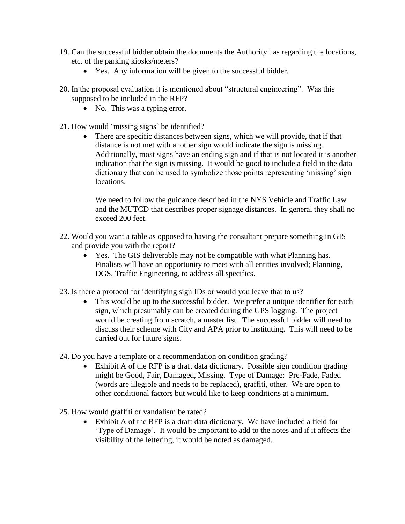- 19. Can the successful bidder obtain the documents the Authority has regarding the locations, etc. of the parking kiosks/meters?
	- Yes. Any information will be given to the successful bidder.
- 20. In the proposal evaluation it is mentioned about "structural engineering". Was this supposed to be included in the RFP?
	- No. This was a typing error.
- 21. How would 'missing signs' be identified?
	- There are specific distances between signs, which we will provide, that if that distance is not met with another sign would indicate the sign is missing. Additionally, most signs have an ending sign and if that is not located it is another indication that the sign is missing. It would be good to include a field in the data dictionary that can be used to symbolize those points representing 'missing' sign locations.

We need to follow the guidance described in the NYS Vehicle and Traffic Law and the MUTCD that describes proper signage distances. In general they shall no exceed 200 feet.

- 22. Would you want a table as opposed to having the consultant prepare something in GIS and provide you with the report?
	- Yes. The GIS deliverable may not be compatible with what Planning has. Finalists will have an opportunity to meet with all entities involved; Planning, DGS, Traffic Engineering, to address all specifics.
- 23. Is there a protocol for identifying sign IDs or would you leave that to us?
	- This would be up to the successful bidder. We prefer a unique identifier for each sign, which presumably can be created during the GPS logging. The project would be creating from scratch, a master list. The successful bidder will need to discuss their scheme with City and APA prior to instituting. This will need to be carried out for future signs.
- 24. Do you have a template or a recommendation on condition grading?
	- Exhibit A of the RFP is a draft data dictionary. Possible sign condition grading might be Good, Fair, Damaged, Missing. Type of Damage: Pre-Fade, Faded (words are illegible and needs to be replaced), graffiti, other. We are open to other conditional factors but would like to keep conditions at a minimum.
- 25. How would graffiti or vandalism be rated?
	- Exhibit A of the RFP is a draft data dictionary. We have included a field for 'Type of Damage'. It would be important to add to the notes and if it affects the visibility of the lettering, it would be noted as damaged.